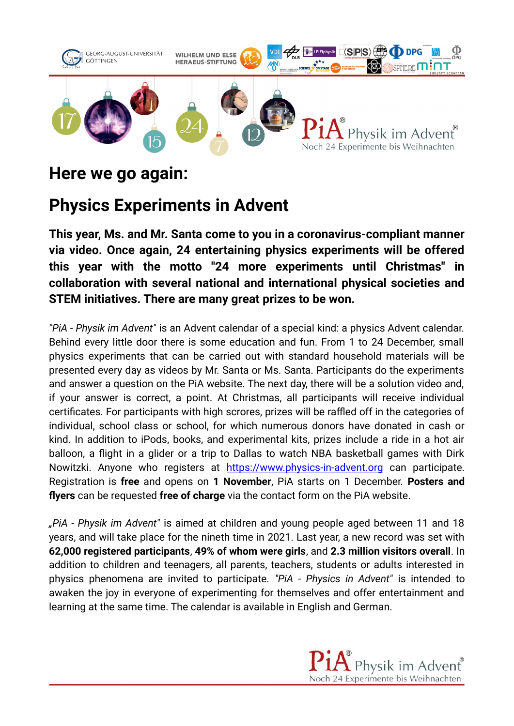

## **Here we go again:**

## **Physics Experiments in Advent**

**This year, Ms. and Mr. Santa come to you in a coronavirus-compliant manner via video. Once again, 24 entertaining physics experiments will be offered this year with the motto "24 more experiments until Christmas" in collaboration with several national and international physical societies and STEM initiatives. There are many great prizes to be won.**

*"PiA - Physik im Advent"* is an Advent calendar of a special kind: a physics Advent calendar. Behind every little door there is some education and fun. From 1 to 24 December, small physics experiments that can be carried out with standard household materials will be presented every day as videos by Mr. Santa or Ms. Santa. Participants do the experiments and answer a question on the PiA website. The next day, there will be a solution video and, if your answer is correct, a point. At Christmas, all participants will receive individual certificates. For participants with high scrores, prizes will be raffled off in the categories of individual, school class or school, for which numerous donors have donated in cash or kind. In addition to iPods, books, and experimental kits, prizes include a ride in a hot air balloon, a flight in a glider or a trip to Dallas to watch NBA basketball games with Dirk Nowitzki. Anyone who registers at [https://www.physics-in-advent.org](https://www.physics-in-advent.org/) can participate. Registration is **free** and opens on **1 November**, PiA starts on 1 December. **Posters and flyers** can be requested **free of charge** via the contact form on the PiA website.

*"PiA - Physik im Advent"* is aimed at children and young people aged between 11 and 18 years, and will take place for the nineth time in 2021. Last year, a new record was set with **62,000 registered participants**, **49% of whom were girls**, and **2.3 million visitors overall**. In addition to children and teenagers, all parents, teachers, students or adults interested in physics phenomena are invited to participate. *"PiA - Physics in Advent"* is intended to awaken the joy in everyone of experimenting for themselves and offer entertainment and learning at the same time. The calendar is available in English and German.